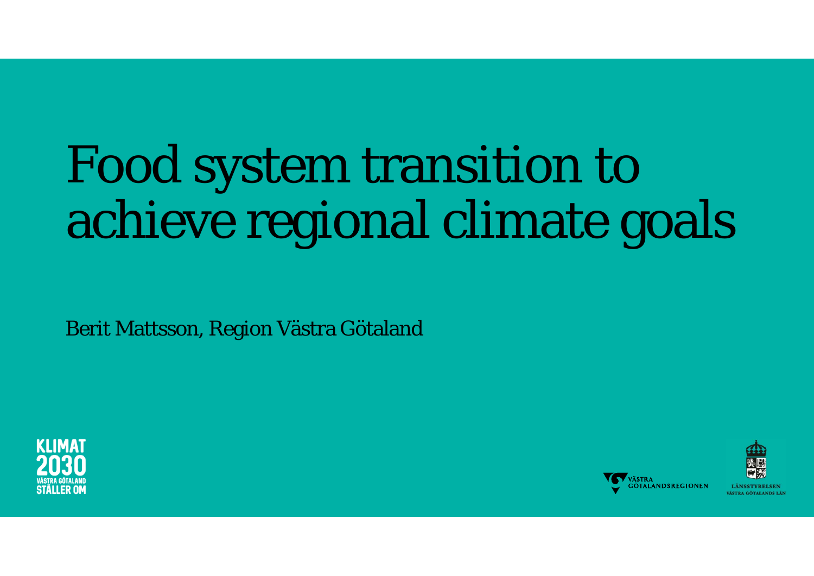# Food system transition to achieve regional climate goals

Berit Mattsson, Region Västra Götaland





**LANSSTVRELSEN** VÄSTRA GÖTALANDS LÄN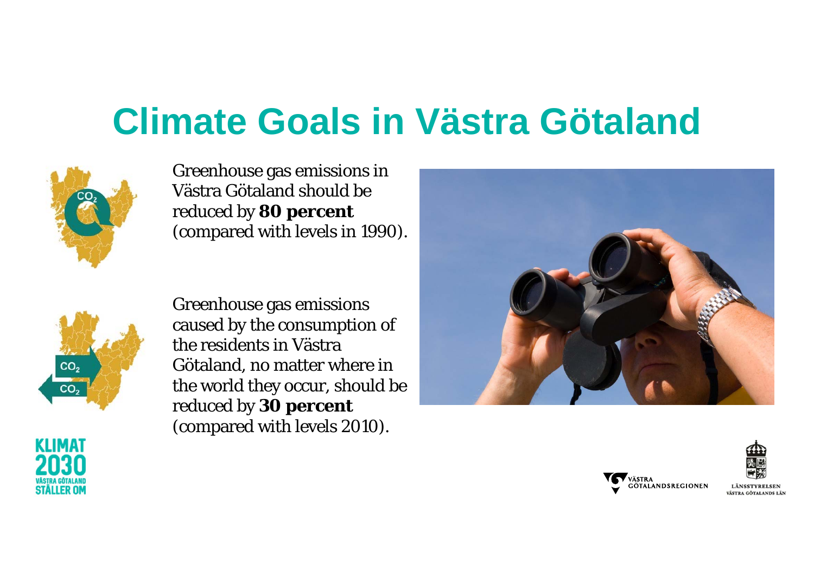### **Climate Goals in Västra Götaland**



Greenhouse gas emissions in Västra Götaland should be reduced by **80 percent**  (compared with levels in 1990).



Greenhouse gas emissions caused by the consumption of the residents in VästraGötaland, no matter where in the world they occur, should be reduced by **30 percent**  (compared with levels 2010).





**LÄNSSTVRELSEN** VÄSTRA GÖTALANDS LÄ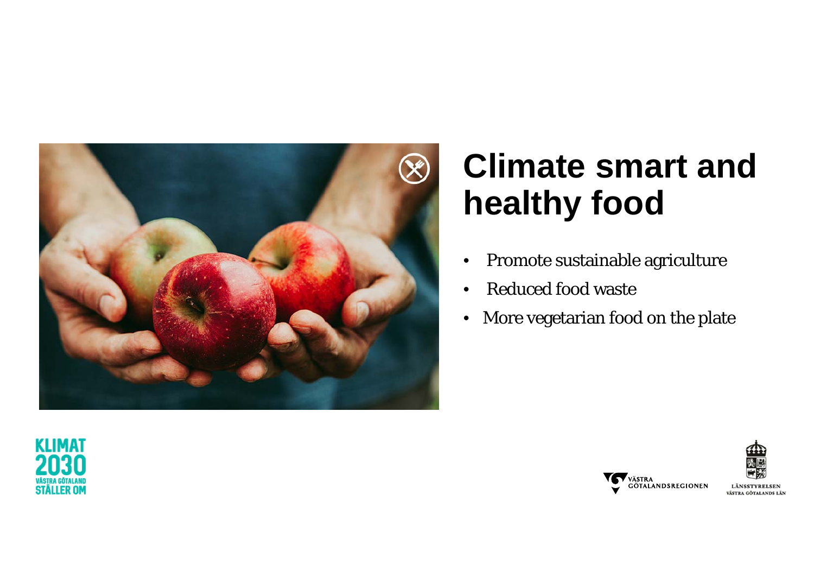

### **Climate smart and healthy food**

- •Promote sustainable agriculture
- •• Reduced food waste
- More vegetarian food on the plate





LÄNSSTYRELSEN VÄSTRA GÖTALANDS LÄN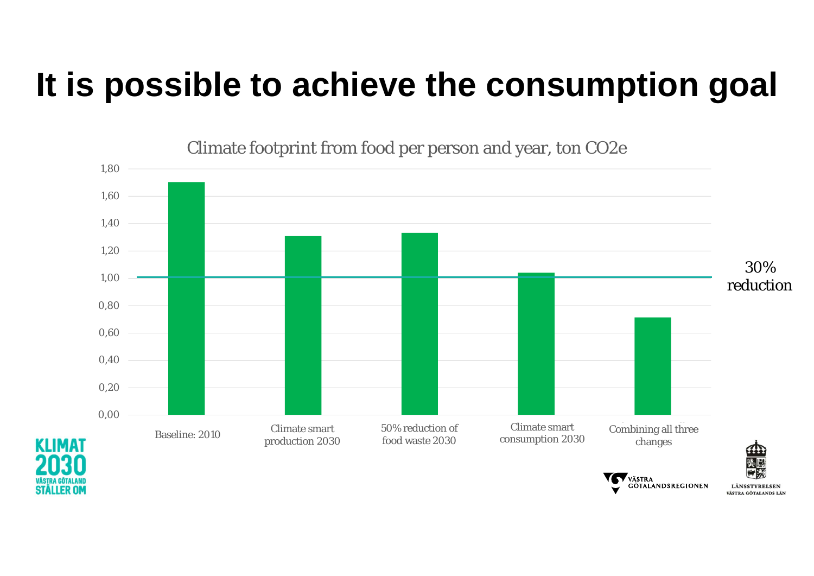### **It is possible to achieve the consumption goal**



Climate footprint from food per person and year, ton CO2e

LÄNSSTYRELSEN VÄSTRA GÖTALANDS LÄN

**GÖTALANDSREGIONEN**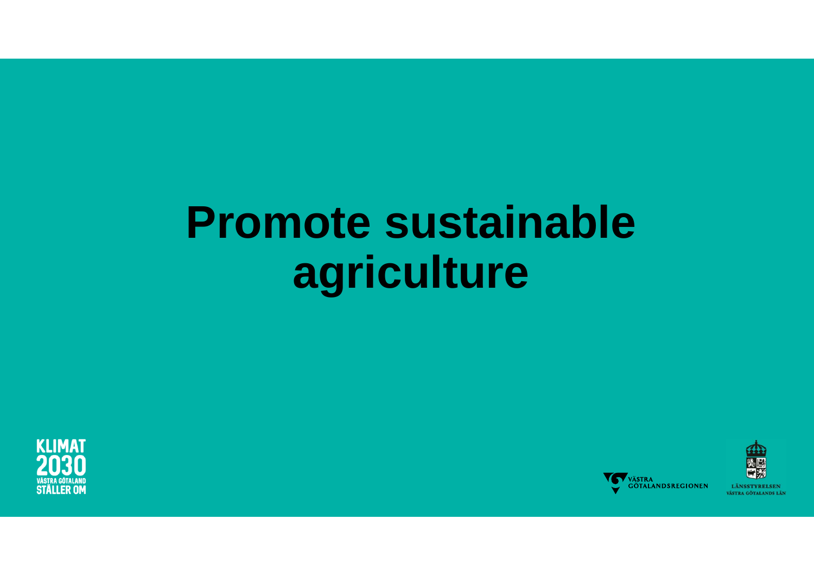## **Promote sustainable agriculture**





LÄNSSTYRELSEN VÄSTRA GÖTALANDS LÄN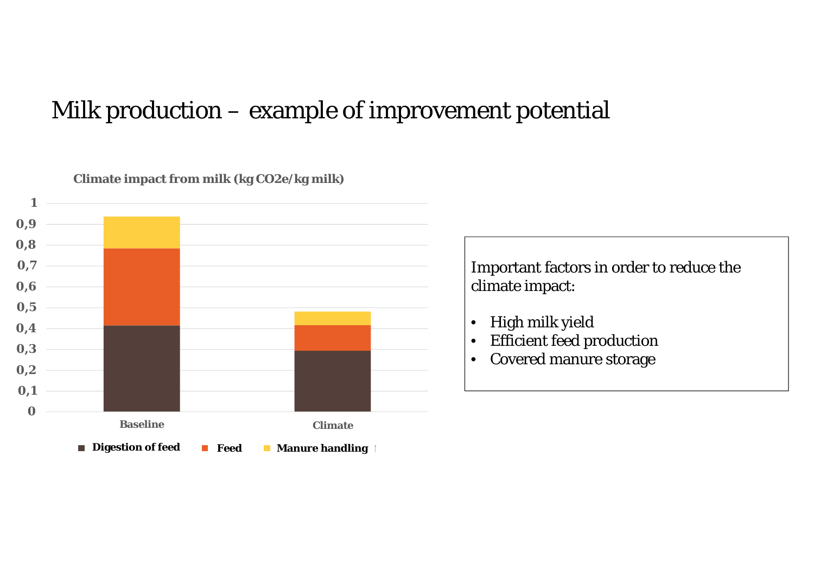#### Milk production – example of improvement potential



**Climate impact from milk (kg CO2e/kg milk)**

Important factors in order to reduce the climate impact:

- •High milk yield
- •Efficient feed production
- $\bullet$ Covered manure storage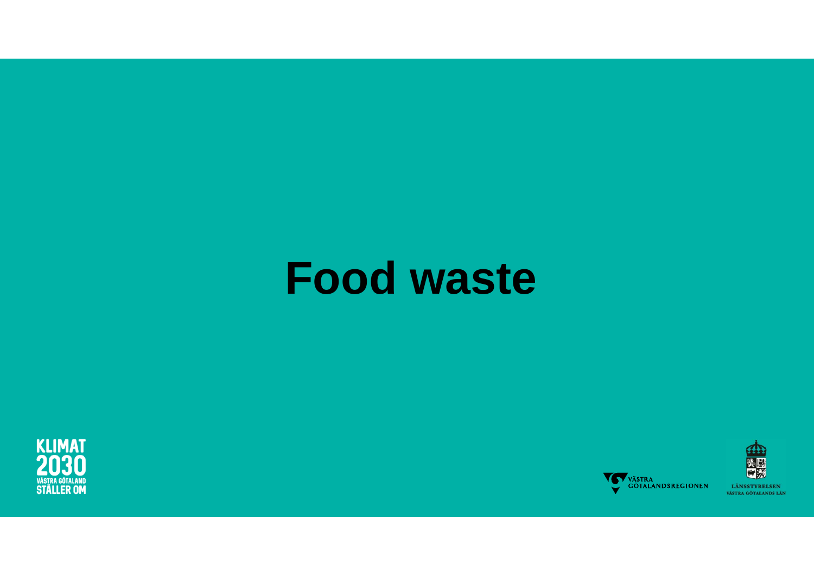## **Food waste**





発展 LÄNSSTYRELSEN VÄSTRA GÖTALANDS LÄN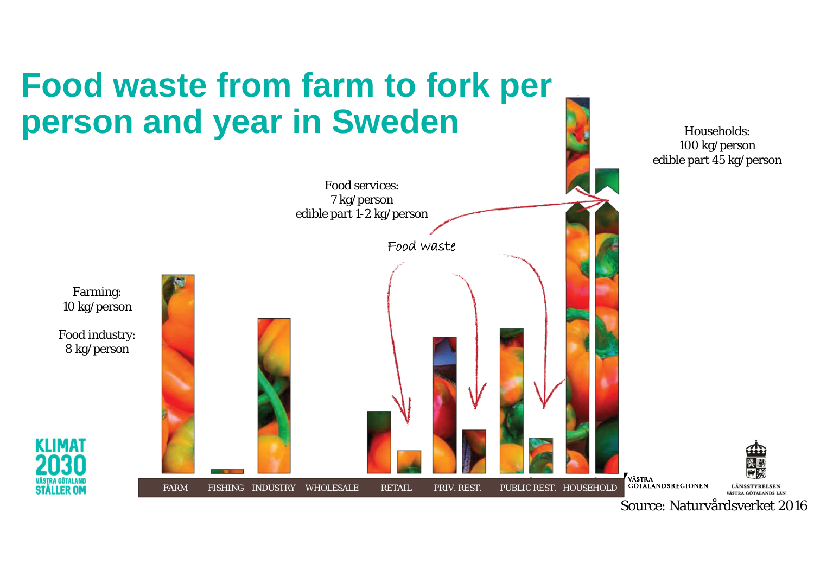

Source: Naturvårdsverket 2016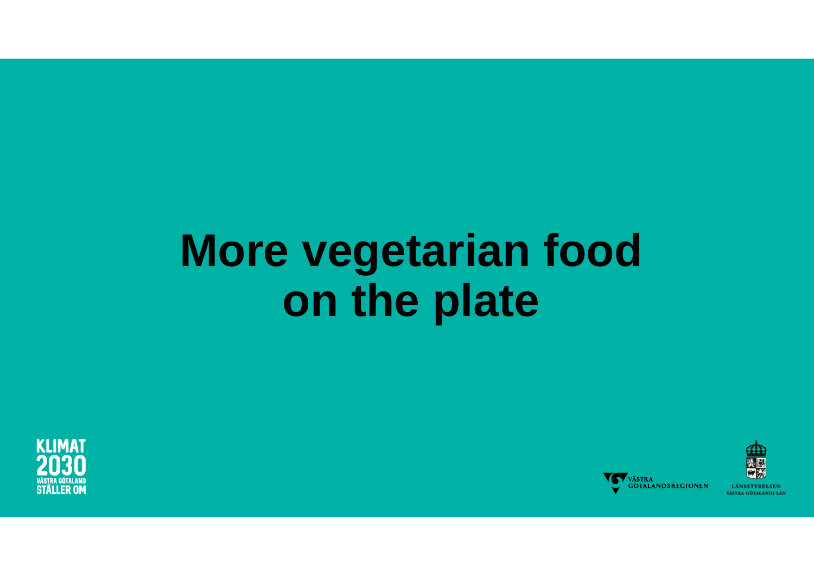# **More vegetarian food on the plate**





**LÄNSSTVRELSEN** VÄSTRA GÖTALANDS LÄN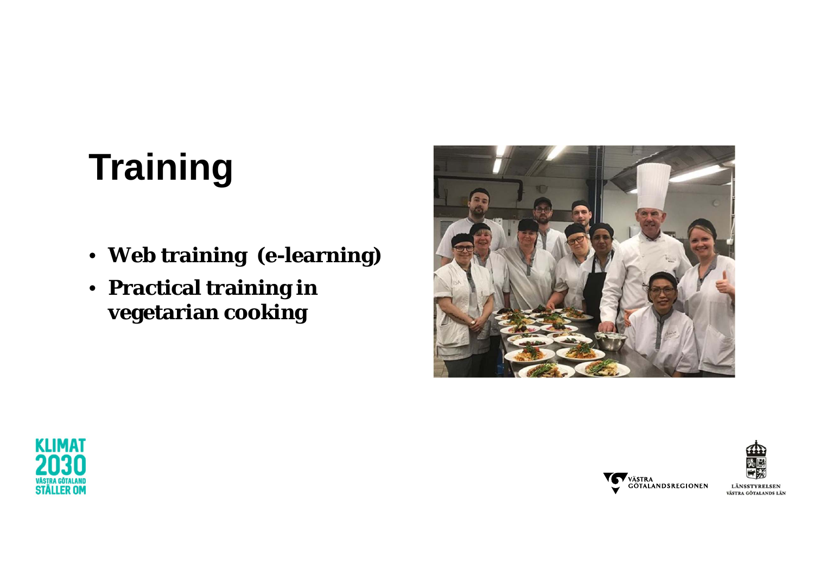### **Training**

- **Web training (e-learning)**
- **Practical training in vegetarian cooking**







LÄNSSTYRELSEN VÄSTRA GÖTALANDS LÄN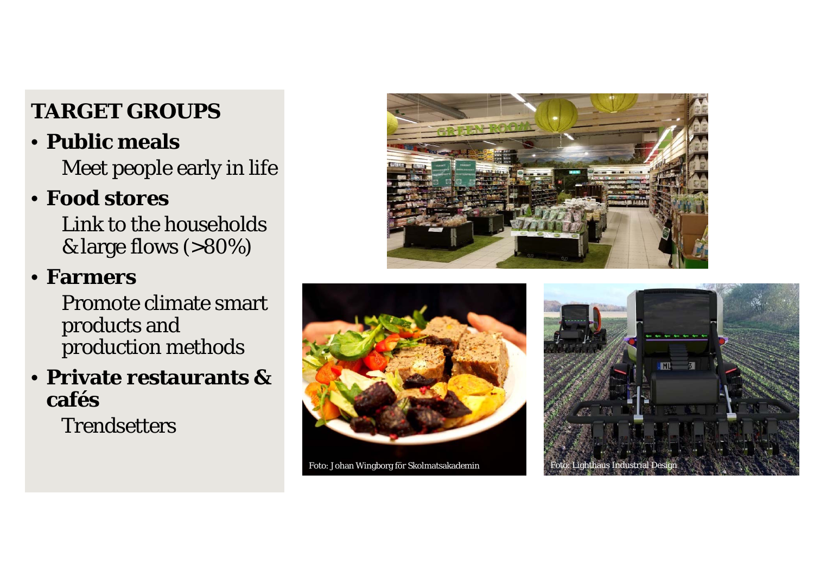#### **TARGET GROUPS**

### • **Public meals**

Meet people early in life

### • **Food stores**

Link to the households & large flows (>80%)

#### • **Farmers**

Promote climate smart products and production methods

#### • **Private restaurants & cafés**

**Trendsetters** 





Foto: Johan Wingborg för Skolmatsakademin Foto: Lighthaus Industrial Design